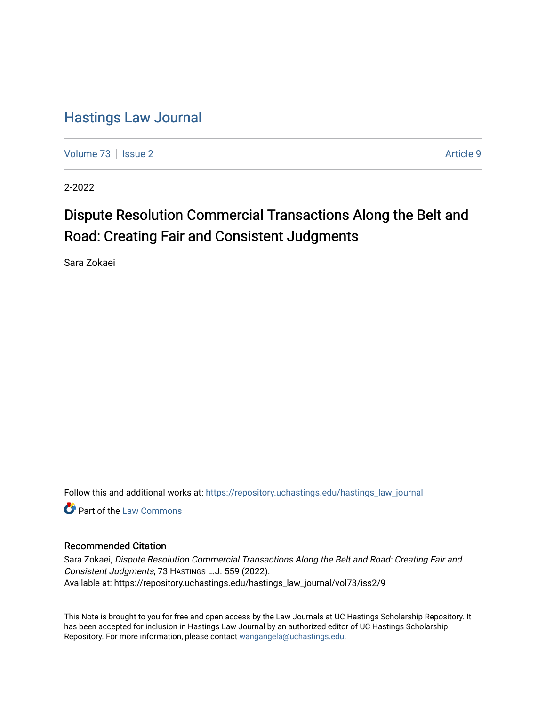## [Hastings Law Journal](https://repository.uchastings.edu/hastings_law_journal)

[Volume 73](https://repository.uchastings.edu/hastings_law_journal/vol73) | [Issue 2](https://repository.uchastings.edu/hastings_law_journal/vol73/iss2) Article 9

2-2022

# Dispute Resolution Commercial Transactions Along the Belt and Road: Creating Fair and Consistent Judgments

Sara Zokaei

Follow this and additional works at: [https://repository.uchastings.edu/hastings\\_law\\_journal](https://repository.uchastings.edu/hastings_law_journal?utm_source=repository.uchastings.edu%2Fhastings_law_journal%2Fvol73%2Fiss2%2F9&utm_medium=PDF&utm_campaign=PDFCoverPages) 

**C** Part of the [Law Commons](http://network.bepress.com/hgg/discipline/578?utm_source=repository.uchastings.edu%2Fhastings_law_journal%2Fvol73%2Fiss2%2F9&utm_medium=PDF&utm_campaign=PDFCoverPages)

## Recommended Citation

Sara Zokaei, Dispute Resolution Commercial Transactions Along the Belt and Road: Creating Fair and Consistent Judgments, 73 HASTINGS L.J. 559 (2022). Available at: https://repository.uchastings.edu/hastings\_law\_journal/vol73/iss2/9

This Note is brought to you for free and open access by the Law Journals at UC Hastings Scholarship Repository. It has been accepted for inclusion in Hastings Law Journal by an authorized editor of UC Hastings Scholarship Repository. For more information, please contact [wangangela@uchastings.edu](mailto:wangangela@uchastings.edu).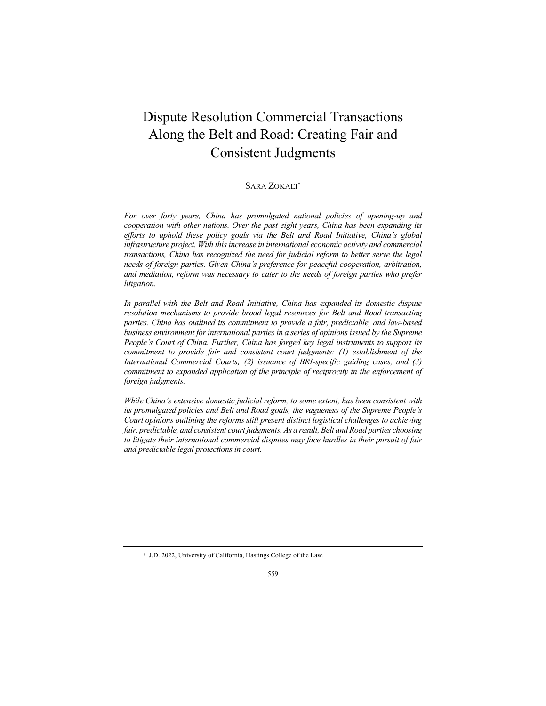## Dispute Resolution Commercial Transactions Along the Belt and Road: Creating Fair and Consistent Judgments

## SARA ZOKAEI†

*For over forty years, China has promulgated national policies of opening-up and cooperation with other nations. Over the past eight years, China has been expanding its efforts to uphold these policy goals via the Belt and Road Initiative, China's global infrastructure project. With this increase in international economic activity and commercial transactions, China has recognized the need for judicial reform to better serve the legal needs of foreign parties. Given China's preference for peaceful cooperation, arbitration, and mediation, reform was necessary to cater to the needs of foreign parties who prefer litigation.*

*In parallel with the Belt and Road Initiative, China has expanded its domestic dispute resolution mechanisms to provide broad legal resources for Belt and Road transacting parties. China has outlined its commitment to provide a fair, predictable, and law-based business environment for international parties in a series of opinions issued by the Supreme People's Court of China. Further, China has forged key legal instruments to support its commitment to provide fair and consistent court judgments: (1) establishment of the International Commercial Courts; (2) issuance of BRI-specific guiding cases, and (3) commitment to expanded application of the principle of reciprocity in the enforcement of foreign judgments.*

*While China's extensive domestic judicial reform, to some extent, has been consistent with its promulgated policies and Belt and Road goals, the vagueness of the Supreme People's Court opinions outlining the reforms still present distinct logistical challenges to achieving fair, predictable, and consistent court judgments. As a result, Belt and Road parties choosing to litigate their international commercial disputes may face hurdles in their pursuit of fair and predictable legal protections in court.*

<sup>†</sup> J.D. 2022, University of California, Hastings College of the Law.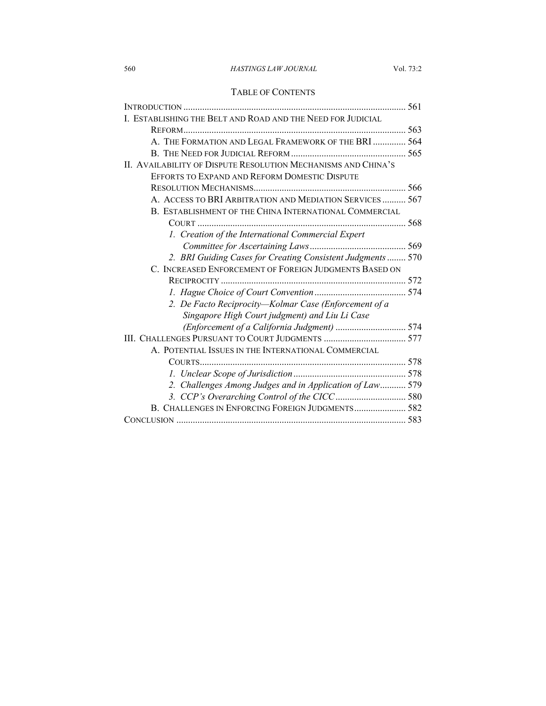## TABLE OF CONTENTS

| I. ESTABLISHING THE BELT AND ROAD AND THE NEED FOR JUDICIAL   |  |
|---------------------------------------------------------------|--|
|                                                               |  |
| A. THE FORMATION AND LEGAL FRAMEWORK OF THE BRI  564          |  |
|                                                               |  |
| II. AVAILABILITY OF DISPUTE RESOLUTION MECHANISMS AND CHINA'S |  |
| EFFORTS TO EXPAND AND REFORM DOMESTIC DISPUTE                 |  |
|                                                               |  |
| A. ACCESS TO BRI ARBITRATION AND MEDIATION SERVICES 567       |  |
| B. ESTABLISHMENT OF THE CHINA INTERNATIONAL COMMERCIAL        |  |
|                                                               |  |
| 1. Creation of the International Commercial Expert            |  |
|                                                               |  |
| 2. BRI Guiding Cases for Creating Consistent Judgments 570    |  |
| C. INCREASED ENFORCEMENT OF FOREIGN JUDGMENTS BASED ON        |  |
|                                                               |  |
|                                                               |  |
| 2. De Facto Reciprocity-Kolmar Case (Enforcement of a         |  |
| Singapore High Court judgment) and Liu Li Case                |  |
| (Enforcement of a California Judgment)  574                   |  |
|                                                               |  |
| A. POTENTIAL ISSUES IN THE INTERNATIONAL COMMERCIAL           |  |
|                                                               |  |
|                                                               |  |
| 2. Challenges Among Judges and in Application of Law 579      |  |
|                                                               |  |
| B. CHALLENGES IN ENFORCING FOREIGN JUDGMENTS 582              |  |
|                                                               |  |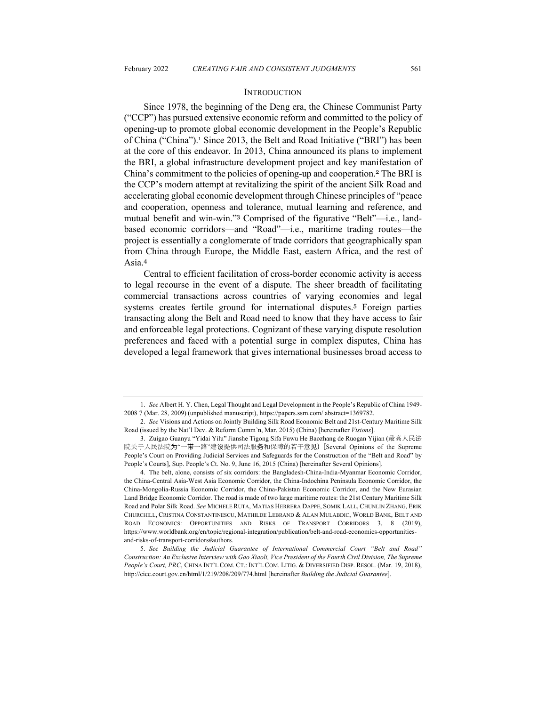#### **INTRODUCTION**

Since 1978, the beginning of the Deng era, the Chinese Communist Party ("CCP") has pursued extensive economic reform and committed to the policy of opening-up to promote global economic development in the People's Republic of China ("China").<sup>1</sup> Since 2013, the Belt and Road Initiative ("BRI") has been at the core of this endeavor. In 2013, China announced its plans to implement the BRI, a global infrastructure development project and key manifestation of China's commitment to the policies of opening-up and cooperation.<sup>2</sup> The BRI is the CCP's modern attempt at revitalizing the spirit of the ancient Silk Road and accelerating global economic development through Chinese principles of "peace and cooperation, openness and tolerance, mutual learning and reference, and mutual benefit and win-win."<sup>3</sup> Comprised of the figurative "Belt"—i.e., landbased economic corridors—and "Road"—i.e., maritime trading routes—the project is essentially a conglomerate of trade corridors that geographically span from China through Europe, the Middle East, eastern Africa, and the rest of Asia.<sup>4</sup>

Central to efficient facilitation of cross-border economic activity is access to legal recourse in the event of a dispute. The sheer breadth of facilitating commercial transactions across countries of varying economies and legal systems creates fertile ground for international disputes.<sup>5</sup> Foreign parties transacting along the Belt and Road need to know that they have access to fair and enforceable legal protections. Cognizant of these varying dispute resolution preferences and faced with a potential surge in complex disputes, China has developed a legal framework that gives international businesses broad access to

<sup>1.</sup> *See* Albert H. Y. Chen, Legal Thought and Legal Development in the People's Republic of China 1949- 2008 7 (Mar. 28, 2009) (unpublished manuscript), https://papers.ssrn.com/ abstract=1369782.

<sup>2.</sup> *See* Visions and Actions on Jointly Building Silk Road Economic Belt and 21st-Century Maritime Silk Road (issued by the Nat'l Dev. & Reform Comm'n, Mar. 2015) (China) [hereinafter *Visions*].

<sup>3.</sup> Zuigao Guanyu "Yidai Yilu" Jianshe Tigong Sifa Fuwu He Baozhang de Ruogan Yijian (最高人民法 院关于人民法院为"一带一路"建设提供司法服务和保障的若干意⻅) [Several Opinions of the Supreme People's Court on Providing Judicial Services and Safeguards for the Construction of the "Belt and Road" by People's Courts], Sup. People's Ct. No. 9, June 16, 2015 (China) [hereinafter Several Opinions].

<sup>4.</sup> The belt, alone, consists of six corridors: the Bangladesh-China-India-Myanmar Economic Corridor, the China-Central Asia-West Asia Economic Corridor, the China-Indochina Peninsula Economic Corridor, the China-Mongolia-Russia Economic Corridor, the China-Pakistan Economic Corridor, and the New Eurasian Land Bridge Economic Corridor. The road is made of two large maritime routes: the 21st Century Maritime Silk Road and Polar Silk Road. *See* MICHELE RUTA, MATIAS HERRERA DAPPE, SOMIK LALL, CHUNLIN ZHANG, ERIK CHURCHILL, CRISTINA CONSTANTINESCU, MATHILDE LEBRAND & ALAN MULABDIC, WORLD BANK, BELT AND ROAD ECONOMICS: OPPORTUNITIES AND RISKS OF TRANSPORT CORRIDORS 3, 8 (2019), https://www.worldbank.org/en/topic/regional-integration/publication/belt-and-road-economics-opportunitiesand-risks-of-transport-corridors#authors.

<sup>5.</sup> *See Building the Judicial Guarantee of International Commercial Court "Belt and Road" Construction: An Exclusive Interview with Gao Xiaoli, Vice President of the Fourth Civil Division, The Supreme People's Court, PRC*, CHINA INT'L COM. CT.: INT'L COM. LITIG. & DIVERSIFIED DISP. RESOL. (Mar. 19, 2018), http://cicc.court.gov.cn/html/1/219/208/209/774.html [hereinafter *Building the Judicial Guarantee*].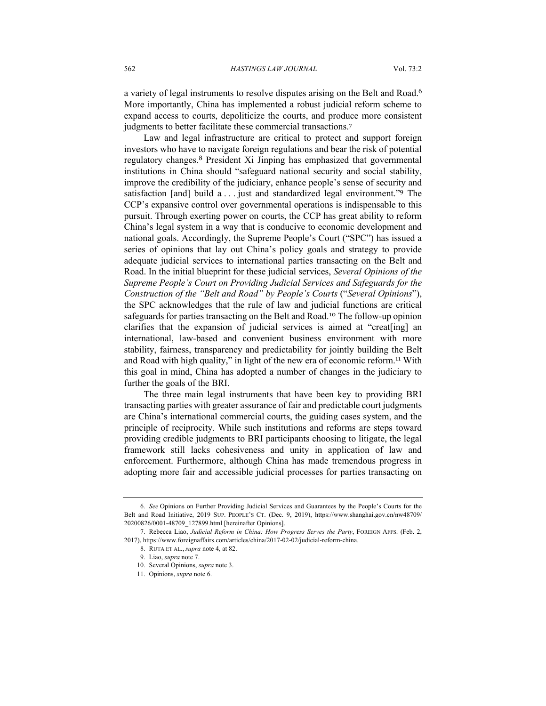a variety of legal instruments to resolve disputes arising on the Belt and Road.<sup>6</sup> More importantly, China has implemented a robust judicial reform scheme to expand access to courts, depoliticize the courts, and produce more consistent judgments to better facilitate these commercial transactions.<sup>7</sup>

Law and legal infrastructure are critical to protect and support foreign investors who have to navigate foreign regulations and bear the risk of potential regulatory changes. <sup>8</sup> President Xi Jinping has emphasized that governmental institutions in China should "safeguard national security and social stability, improve the credibility of the judiciary, enhance people's sense of security and satisfaction [and] build a . . . just and standardized legal environment."<sup>9</sup> The CCP's expansive control over governmental operations is indispensable to this pursuit. Through exerting power on courts, the CCP has great ability to reform China's legal system in a way that is conducive to economic development and national goals. Accordingly, the Supreme People's Court ("SPC") has issued a series of opinions that lay out China's policy goals and strategy to provide adequate judicial services to international parties transacting on the Belt and Road. In the initial blueprint for these judicial services, *Several Opinions of the Supreme People's Court on Providing Judicial Services and Safeguards for the Construction of the "Belt and Road" by People's Courts* ("*Several Opinions*"), the SPC acknowledges that the rule of law and judicial functions are critical safeguards for parties transacting on the Belt and Road.<sup>10</sup> The follow-up opinion clarifies that the expansion of judicial services is aimed at "creat[ing] an international, law-based and convenient business environment with more stability, fairness, transparency and predictability for jointly building the Belt and Road with high quality," in light of the new era of economic reform.<sup>11</sup> With this goal in mind, China has adopted a number of changes in the judiciary to further the goals of the BRI.

The three main legal instruments that have been key to providing BRI transacting parties with greater assurance of fair and predictable court judgments are China's international commercial courts, the guiding cases system, and the principle of reciprocity. While such institutions and reforms are steps toward providing credible judgments to BRI participants choosing to litigate, the legal framework still lacks cohesiveness and unity in application of law and enforcement. Furthermore, although China has made tremendous progress in adopting more fair and accessible judicial processes for parties transacting on

<sup>6.</sup> *See* Opinions on Further Providing Judicial Services and Guarantees by the People's Courts for the Belt and Road Initiative, 2019 SUP. PEOPLE'S CT. (Dec. 9, 2019), https://www.shanghai.gov.cn/nw48709/ 20200826/0001-48709\_127899.html [hereinafter Opinions].

<sup>7.</sup> Rebecca Liao, *Judicial Reform in China: How Progress Serves the Party*, FOREIGN AFFS. (Feb. 2, 2017), https://www.foreignaffairs.com/articles/china/2017-02-02/judicial-reform-china.

<sup>8.</sup> RUTA ET AL., *supra* note 4, at 82.

<sup>9.</sup> Liao, *supra* note 7.

<sup>10.</sup> Several Opinions, *supra* note 3.

<sup>11.</sup> Opinions, *supra* note 6.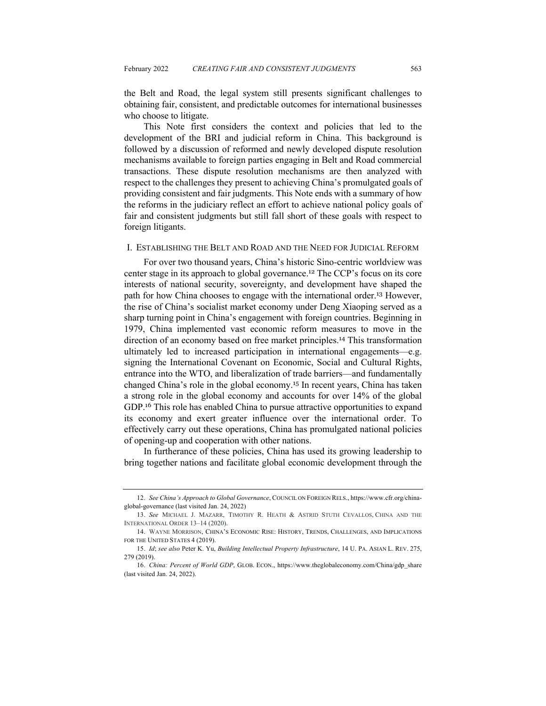the Belt and Road, the legal system still presents significant challenges to obtaining fair, consistent, and predictable outcomes for international businesses who choose to litigate.

This Note first considers the context and policies that led to the development of the BRI and judicial reform in China. This background is followed by a discussion of reformed and newly developed dispute resolution mechanisms available to foreign parties engaging in Belt and Road commercial transactions. These dispute resolution mechanisms are then analyzed with respect to the challenges they present to achieving China's promulgated goals of providing consistent and fair judgments. This Note ends with a summary of how the reforms in the judiciary reflect an effort to achieve national policy goals of fair and consistent judgments but still fall short of these goals with respect to foreign litigants.

#### I. ESTABLISHING THE BELT AND ROAD AND THE NEED FOR JUDICIAL REFORM

For over two thousand years, China's historic Sino-centric worldview was center stage in its approach to global governance.<sup>12</sup> The CCP's focus on its core interests of national security, sovereignty, and development have shaped the path for how China chooses to engage with the international order.<sup>13</sup> However, the rise of China's socialist market economy under Deng Xiaoping served as a sharp turning point in China's engagement with foreign countries. Beginning in 1979, China implemented vast economic reform measures to move in the direction of an economy based on free market principles.<sup>14</sup> This transformation ultimately led to increased participation in international engagements—e.g. signing the International Covenant on Economic, Social and Cultural Rights, entrance into the WTO, and liberalization of trade barriers—and fundamentally changed China's role in the global economy.<sup>15</sup> In recent years, China has taken a strong role in the global economy and accounts for over 14% of the global GDP.<sup>16</sup> This role has enabled China to pursue attractive opportunities to expand its economy and exert greater influence over the international order. To effectively carry out these operations, China has promulgated national policies of opening-up and cooperation with other nations.

In furtherance of these policies, China has used its growing leadership to bring together nations and facilitate global economic development through the

<sup>12.</sup> *See China's Approach to Global Governance*, COUNCIL ON FOREIGN RELS., https://www.cfr.org/chinaglobal-governance (last visited Jan. 24, 2022)

<sup>13.</sup> *See* MICHAEL J. MAZARR, TIMOTHY R. HEATH & ASTRID STUTH CEVALLOS, CHINA AND THE INTERNATIONAL ORDER 13–14 (2020).

<sup>14.</sup> WAYNE MORRISON, CHINA'S ECONOMIC RISE: HISTORY, TRENDS, CHALLENGES, AND IMPLICATIONS FOR THE UNITED STATES 4 (2019).

<sup>15.</sup> *Id*; *see also* Peter K. Yu, *Building Intellectual Property Infrastructure*, 14 U. PA. ASIAN L. REV. 275, 279 (2019).

<sup>16.</sup> *China: Percent of World GDP*, GLOB. ECON., https://www.theglobaleconomy.com/China/gdp\_share (last visited Jan. 24, 2022).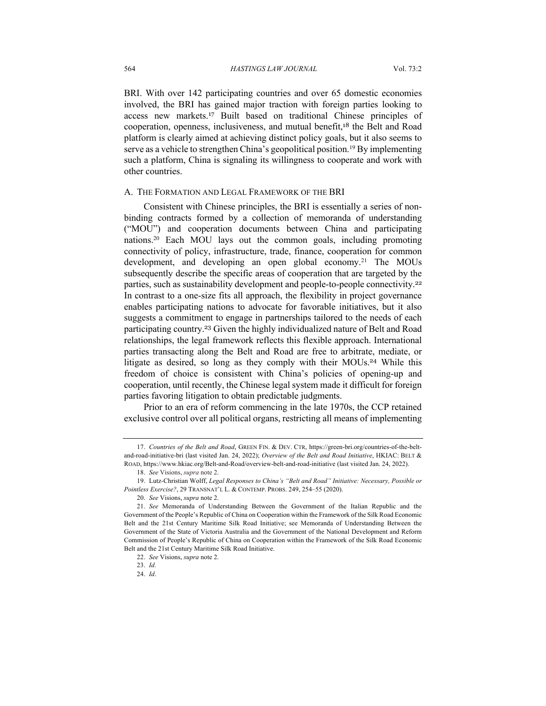BRI. With over 142 participating countries and over 65 domestic economies involved, the BRI has gained major traction with foreign parties looking to access new markets.<sup>17</sup> Built based on traditional Chinese principles of cooperation, openness, inclusiveness, and mutual benefit,<sup>18</sup> the Belt and Road platform is clearly aimed at achieving distinct policy goals, but it also seems to serve as a vehicle to strengthen China's geopolitical position. <sup>19</sup> By implementing such a platform, China is signaling its willingness to cooperate and work with other countries.

#### A. THE FORMATION AND LEGAL FRAMEWORK OF THE BRI

Consistent with Chinese principles, the BRI is essentially a series of nonbinding contracts formed by a collection of memoranda of understanding ("MOU") and cooperation documents between China and participating nations. <sup>20</sup> Each MOU lays out the common goals, including promoting connectivity of policy, infrastructure, trade, finance, cooperation for common development, and developing an open global economy.<sup>21</sup> The MOUs subsequently describe the specific areas of cooperation that are targeted by the parties, such as sustainability development and people-to-people connectivity.<sup>22</sup> In contrast to a one-size fits all approach, the flexibility in project governance enables participating nations to advocate for favorable initiatives, but it also suggests a commitment to engage in partnerships tailored to the needs of each participating country.<sup>23</sup> Given the highly individualized nature of Belt and Road relationships, the legal framework reflects this flexible approach. International parties transacting along the Belt and Road are free to arbitrate, mediate, or litigate as desired, so long as they comply with their MOUs. <sup>24</sup> While this freedom of choice is consistent with China's policies of opening-up and cooperation, until recently, the Chinese legal system made it difficult for foreign parties favoring litigation to obtain predictable judgments.

Prior to an era of reform commencing in the late 1970s, the CCP retained exclusive control over all political organs, restricting all means of implementing

<sup>17.</sup> *Countries of the Belt and Road*, GREEN FIN. & DEV. CTR, https://green-bri.org/countries-of-the-beltand-road-initiative-bri (last visited Jan. 24, 2022); *Overview of the Belt and Road Initiative*, HKIAC: BELT & ROAD, https://www.hkiac.org/Belt-and-Road/overview-belt-and-road-initiative (last visited Jan. 24, 2022).

<sup>18.</sup> *See* Visions, *supra* note 2.

<sup>19.</sup> Lutz-Christian Wolff, *Legal Responses to China's "Belt and Road" Initiative: Necessary, Possible or Pointless Exercise?*, 29 TRANSNAT'L L. & CONTEMP. PROBS. 249, 254–55 (2020).

<sup>20.</sup> *See* Visions, *supra* note 2.

<sup>21.</sup> *See* Memoranda of Understanding Between the Government of the Italian Republic and the Government of the People's Republic of China on Cooperation within the Framework of the Silk Road Economic Belt and the 21st Century Maritime Silk Road Initiative; see Memoranda of Understanding Between the Government of the State of Victoria Australia and the Government of the National Development and Reform Commission of People's Republic of China on Cooperation within the Framework of the Silk Road Economic Belt and the 21st Century Maritime Silk Road Initiative.

<sup>22.</sup> *See* Visions, *supra* note 2.

<sup>23.</sup> *Id.*

<sup>24.</sup> *Id*.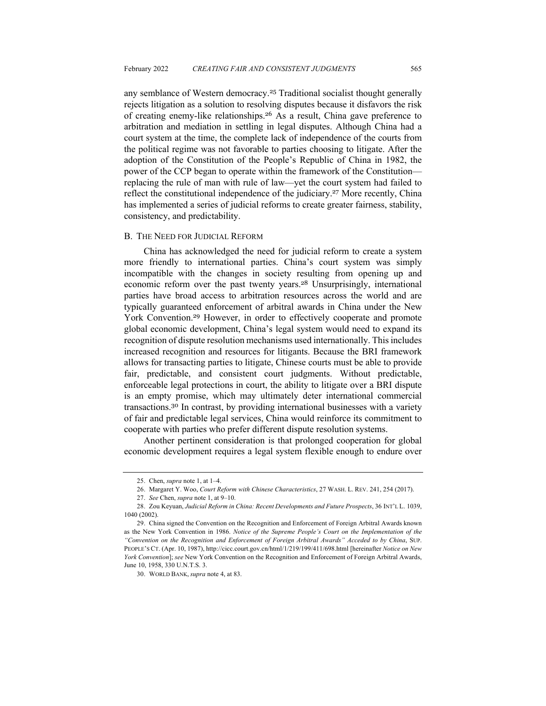any semblance of Western democracy.<sup>25</sup> Traditional socialist thought generally rejects litigation as a solution to resolving disputes because it disfavors the risk of creating enemy-like relationships.<sup>26</sup> As a result, China gave preference to arbitration and mediation in settling in legal disputes. Although China had a court system at the time, the complete lack of independence of the courts from the political regime was not favorable to parties choosing to litigate. After the adoption of the Constitution of the People's Republic of China in 1982, the power of the CCP began to operate within the framework of the Constitution replacing the rule of man with rule of law—yet the court system had failed to reflect the constitutional independence of the judiciary.<sup>27</sup> More recently, China has implemented a series of judicial reforms to create greater fairness, stability, consistency, and predictability.

#### B. THE NEED FOR JUDICIAL REFORM

China has acknowledged the need for judicial reform to create a system more friendly to international parties. China's court system was simply incompatible with the changes in society resulting from opening up and economic reform over the past twenty years.<sup>28</sup> Unsurprisingly, international parties have broad access to arbitration resources across the world and are typically guaranteed enforcement of arbitral awards in China under the New York Convention. <sup>29</sup> However, in order to effectively cooperate and promote global economic development, China's legal system would need to expand its recognition of dispute resolution mechanisms used internationally. This includes increased recognition and resources for litigants. Because the BRI framework allows for transacting parties to litigate, Chinese courts must be able to provide fair, predictable, and consistent court judgments. Without predictable, enforceable legal protections in court, the ability to litigate over a BRI dispute is an empty promise, which may ultimately deter international commercial transactions.<sup>30</sup> In contrast, by providing international businesses with a variety of fair and predictable legal services, China would reinforce its commitment to cooperate with parties who prefer different dispute resolution systems.

Another pertinent consideration is that prolonged cooperation for global economic development requires a legal system flexible enough to endure over

<sup>25.</sup> Chen, *supra* note 1, at 1–4.

<sup>26.</sup> Margaret Y. Woo, *Court Reform with Chinese Characteristics*, 27 WASH. L. REV. 241, 254 (2017).

<sup>27.</sup> *See* Chen, *supra* note 1, at 9–10.

<sup>28.</sup> Zou Keyuan, *Judicial Reform in China: Recent Developments and Future Prospects*, 36 INT'L L. 1039, 1040 (2002).

<sup>29.</sup> China signed the Convention on the Recognition and Enforcement of Foreign Arbitral Awards known as the New York Convention in 1986. *Notice of the Supreme People's Court on the Implementation of the "Convention on the Recognition and Enforcement of Foreign Arbitral Awards" Acceded to by China*, SUP. PEOPLE'S CT. (Apr. 10, 1987), http://cicc.court.gov.cn/html/1/219/199/411/698.html [hereinafter *Notice on New York Convention*]; *see* New York Convention on the Recognition and Enforcement of Foreign Arbitral Awards, June 10, 1958, 330 U.N.T.S. 3.

<sup>30.</sup> WORLD BANK, *supra* note 4, at 83.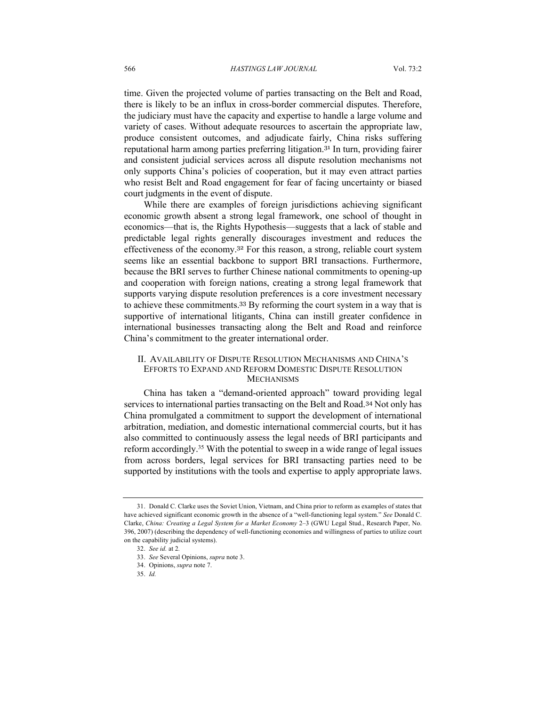time. Given the projected volume of parties transacting on the Belt and Road, there is likely to be an influx in cross-border commercial disputes. Therefore, the judiciary must have the capacity and expertise to handle a large volume and variety of cases. Without adequate resources to ascertain the appropriate law, produce consistent outcomes, and adjudicate fairly, China risks suffering reputational harm among parties preferring litigation.<sup>31</sup> In turn, providing fairer and consistent judicial services across all dispute resolution mechanisms not only supports China's policies of cooperation, but it may even attract parties who resist Belt and Road engagement for fear of facing uncertainty or biased court judgments in the event of dispute.

While there are examples of foreign jurisdictions achieving significant economic growth absent a strong legal framework, one school of thought in economics—that is, the Rights Hypothesis—suggests that a lack of stable and predictable legal rights generally discourages investment and reduces the effectiveness of the economy.<sup>32</sup> For this reason, a strong, reliable court system seems like an essential backbone to support BRI transactions. Furthermore, because the BRI serves to further Chinese national commitments to opening-up and cooperation with foreign nations, creating a strong legal framework that supports varying dispute resolution preferences is a core investment necessary to achieve these commitments.<sup>33</sup> By reforming the court system in a way that is supportive of international litigants, China can instill greater confidence in international businesses transacting along the Belt and Road and reinforce China's commitment to the greater international order.

#### II. AVAILABILITY OF DISPUTE RESOLUTION MECHANISMS AND CHINA'S EFFORTS TO EXPAND AND REFORM DOMESTIC DISPUTE RESOLUTION **MECHANISMS**

China has taken a "demand-oriented approach" toward providing legal services to international parties transacting on the Belt and Road.<sup>34</sup> Not only has China promulgated a commitment to support the development of international arbitration, mediation, and domestic international commercial courts, but it has also committed to continuously assess the legal needs of BRI participants and reform accordingly.<sup>35</sup> With the potential to sweep in a wide range of legal issues from across borders, legal services for BRI transacting parties need to be supported by institutions with the tools and expertise to apply appropriate laws.

<sup>31.</sup> Donald C. Clarke uses the Soviet Union, Vietnam, and China prior to reform as examples of states that have achieved significant economic growth in the absence of a "well-functioning legal system." *See* Donald C. Clarke, *China: Creating a Legal System for a Market Economy* 2–3 (GWU Legal Stud., Research Paper, No. 396, 2007) (describing the dependency of well-functioning economies and willingness of parties to utilize court on the capability judicial systems).

<sup>32.</sup> *See id.* at 2*.*

<sup>33.</sup> *See* Several Opinions, *supra* note 3.

<sup>34.</sup> Opinions, *supra* note 7.

<sup>35</sup>. *Id.*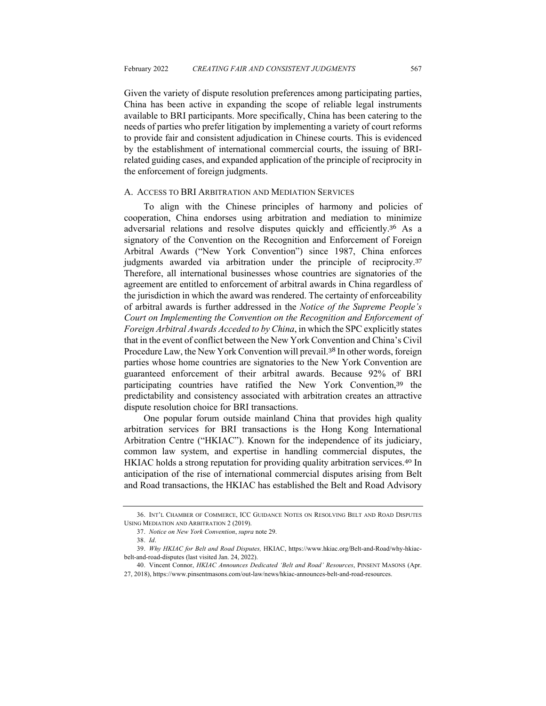Given the variety of dispute resolution preferences among participating parties, China has been active in expanding the scope of reliable legal instruments available to BRI participants. More specifically, China has been catering to the needs of parties who prefer litigation by implementing a variety of court reforms to provide fair and consistent adjudication in Chinese courts. This is evidenced by the establishment of international commercial courts, the issuing of BRIrelated guiding cases, and expanded application of the principle of reciprocity in the enforcement of foreign judgments.

#### A. ACCESS TO BRI ARBITRATION AND MEDIATION SERVICES

To align with the Chinese principles of harmony and policies of cooperation, China endorses using arbitration and mediation to minimize adversarial relations and resolve disputes quickly and efficiently.<sup>36</sup> As a signatory of the Convention on the Recognition and Enforcement of Foreign Arbitral Awards ("New York Convention") since 1987, China enforces judgments awarded via arbitration under the principle of reciprocity.<sup>37</sup> Therefore, all international businesses whose countries are signatories of the agreement are entitled to enforcement of arbitral awards in China regardless of the jurisdiction in which the award was rendered. The certainty of enforceability of arbitral awards is further addressed in the *Notice of the Supreme People's Court on Implementing the Convention on the Recognition and Enforcement of Foreign Arbitral Awards Acceded to by China*, in which the SPC explicitly states that in the event of conflict between the New York Convention and China's Civil Procedure Law, the New York Convention will prevail.<sup>38</sup> In other words, foreign parties whose home countries are signatories to the New York Convention are guaranteed enforcement of their arbitral awards. Because 92% of BRI participating countries have ratified the New York Convention,<sup>39</sup> the predictability and consistency associated with arbitration creates an attractive dispute resolution choice for BRI transactions.

One popular forum outside mainland China that provides high quality arbitration services for BRI transactions is the Hong Kong International Arbitration Centre ("HKIAC"). Known for the independence of its judiciary, common law system, and expertise in handling commercial disputes, the HKIAC holds a strong reputation for providing quality arbitration services.<sup>40</sup> In anticipation of the rise of international commercial disputes arising from Belt and Road transactions, the HKIAC has established the Belt and Road Advisory

<sup>36.</sup> INT'L CHAMBER OF COMMERCE, ICC GUIDANCE NOTES ON RESOLVING BELT AND ROAD DISPUTES USING MEDIATION AND ARBITRATION 2 (2019).

<sup>37.</sup> *Notice on New York Convention*, *supra* note 29.

<sup>38.</sup> *Id*.

<sup>39.</sup> *Why HKIAC for Belt and Road Disputes,* HKIAC, https://www.hkiac.org/Belt-and-Road/why-hkiacbelt-and-road-disputes (last visited Jan. 24, 2022).

<sup>40.</sup> Vincent Connor, *HKIAC Announces Dedicated 'Belt and Road' Resources*, PINSENT MASONS (Apr. 27, 2018), https://www.pinsentmasons.com/out-law/news/hkiac-announces-belt-and-road-resources.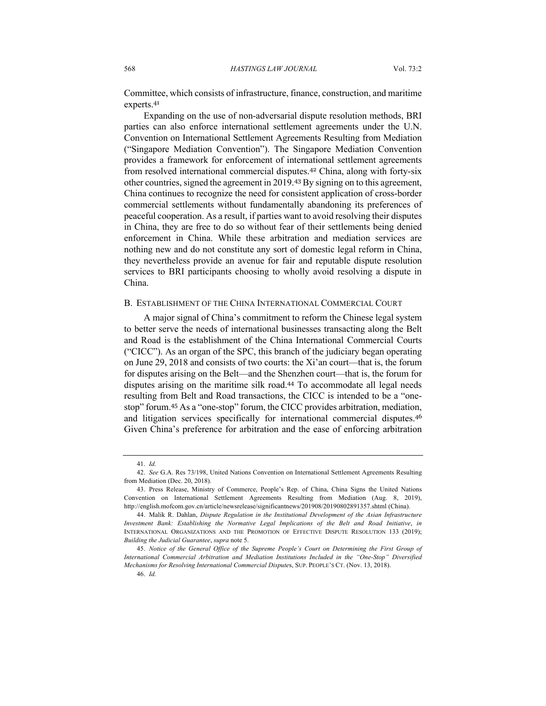Committee, which consists of infrastructure, finance, construction, and maritime experts. 41

Expanding on the use of non-adversarial dispute resolution methods, BRI parties can also enforce international settlement agreements under the U.N. Convention on International Settlement Agreements Resulting from Mediation ("Singapore Mediation Convention"). The Singapore Mediation Convention provides a framework for enforcement of international settlement agreements from resolved international commercial disputes.<sup>42</sup> China, along with forty-six other countries, signed the agreement in 2019.<sup>43</sup> By signing on to this agreement, China continues to recognize the need for consistent application of cross-border commercial settlements without fundamentally abandoning its preferences of peaceful cooperation. As a result, if parties want to avoid resolving their disputes in China, they are free to do so without fear of their settlements being denied enforcement in China. While these arbitration and mediation services are nothing new and do not constitute any sort of domestic legal reform in China, they nevertheless provide an avenue for fair and reputable dispute resolution services to BRI participants choosing to wholly avoid resolving a dispute in China.

#### B. ESTABLISHMENT OF THE CHINA INTERNATIONAL COMMERCIAL COURT

A major signal of China's commitment to reform the Chinese legal system to better serve the needs of international businesses transacting along the Belt and Road is the establishment of the China International Commercial Courts ("CICC"). As an organ of the SPC, this branch of the judiciary began operating on June 29, 2018 and consists of two courts: the Xi'an court—that is, the forum for disputes arising on the Belt—and the Shenzhen court—that is, the forum for disputes arising on the maritime silk road.<sup>44</sup> To accommodate all legal needs resulting from Belt and Road transactions, the CICC is intended to be a "onestop" forum.<sup>45</sup> As a "one-stop" forum, the CICC provides arbitration, mediation, and litigation services specifically for international commercial disputes.<sup>46</sup> Given China's preference for arbitration and the ease of enforcing arbitration

45. *Notice of the General Office of the Supreme People's Court on Determining the First Group of International Commercial Arbitration and Mediation Institutions Included in the "One-Stop" Diversified Mechanisms for Resolving International Commercial Dispute*s, SUP. PEOPLE'S CT. (Nov. 13, 2018).

<sup>41.</sup> *Id.*

<sup>42.</sup> *See* G.A. Res 73/198, United Nations Convention on International Settlement Agreements Resulting from Mediation (Dec. 20, 2018).

<sup>43.</sup> Press Release, Ministry of Commerce, People's Rep. of China, China Signs the United Nations Convention on International Settlement Agreements Resulting from Mediation (Aug. 8, 2019), http://english.mofcom.gov.cn/article/newsrelease/significantnews/201908/20190802891357.shtml (China).

<sup>44.</sup> Malik R. Dahlan, *Dispute Regulation in the Institutional Development of the Asian Infrastructure Investment Bank: Establishing the Normative Legal Implications of the Belt and Road Initiative*, *in* INTERNATIONAL ORGANIZATIONS AND THE PROMOTION OF EFFECTIVE DISPUTE RESOLUTION 133 (2019); *Building the Judicial Guarantee*, *supra* note 5.

<sup>46.</sup> *Id.*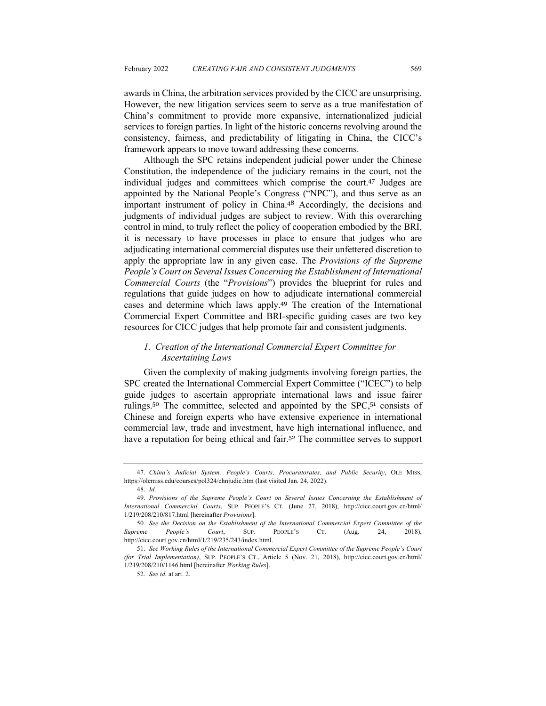awards in China, the arbitration services provided by the CICC are unsurprising. However, the new litigation services seem to serve as a true manifestation of China's commitment to provide more expansive, internationalized judicial services to foreign parties. In light of the historic concerns revolving around the consistency, fairness, and predictability of litigating in China, the CICC's framework appears to move toward addressing these concerns.

Although the SPC retains independent judicial power under the Chinese Constitution, the independence of the judiciary remains in the court, not the individual judges and committees which comprise the court.<sup>47</sup> Judges are appointed by the National People's Congress ("NPC"), and thus serve as an important instrument of policy in China.<sup>48</sup> Accordingly, the decisions and judgments of individual judges are subject to review. With this overarching control in mind, to truly reflect the policy of cooperation embodied by the BRI, it is necessary to have processes in place to ensure that judges who are adjudicating international commercial disputes use their unfettered discretion to apply the appropriate law in any given case. The *Provisions of the Supreme People's Court on Several Issues Concerning the Establishment of International Commercial Courts* (the "*Provisions*") provides the blueprint for rules and regulations that guide judges on how to adjudicate international commercial cases and determine which laws apply. <sup>49</sup> The creation of the International Commercial Expert Committee and BRI-specific guiding cases are two key resources for CICC judges that help promote fair and consistent judgments.

## *1. Creation of the International Commercial Expert Committee for Ascertaining Laws*

Given the complexity of making judgments involving foreign parties, the SPC created the International Commercial Expert Committee ("ICEC") to help guide judges to ascertain appropriate international laws and issue fairer rulings.<sup>50</sup> The committee, selected and appointed by the SPC,<sup>51</sup> consists of Chinese and foreign experts who have extensive experience in international commercial law, trade and investment, have high international influence, and have a reputation for being ethical and fair.<sup>52</sup> The committee serves to support

<sup>47.</sup> *China's Judicial System: People's Courts, Procuratorates, and Public Security*, OLE MISS, https://olemiss.edu/courses/pol324/chnjudic.htm (last visited Jan. 24, 2022).

<sup>48.</sup> *Id.*

<sup>49.</sup> *Provisions of the Supreme People's Court on Several Issues Concerning the Establishment of International Commercial Courts*, SUP. PEOPLE'S CT. (June 27, 2018), http://cicc.court.gov.cn/html/ 1/219/208/210/817.html [hereinafter *Provisions*].

<sup>50.</sup> *See the Decision on the Establishment of the International Commercial Expert Committee of the Supreme People's Court*, SUP. PEOPLE'S CT. (Aug. 24, 2018), http://cicc.court.gov.cn/html/1/219/235/243/index.html.

<sup>51.</sup> *See Working Rules of the International Commercial Expert Committee of the Supreme People's Court (for Trial Implementation)*, SUP. PEOPLE'S CT., Article 5 (Nov. 21, 2018), http://cicc.court.gov.cn/html/ 1/219/208/210/1146.html [hereinafter *Working Rules*].

<sup>52.</sup> *See id.* at art. 2.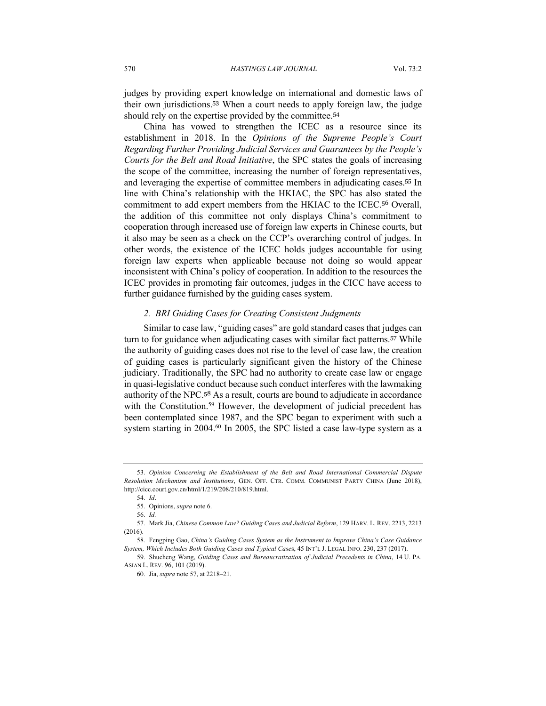judges by providing expert knowledge on international and domestic laws of their own jurisdictions.<sup>53</sup> When a court needs to apply foreign law, the judge should rely on the expertise provided by the committee.<sup>54</sup>

China has vowed to strengthen the ICEC as a resource since its establishment in 2018. In the *Opinions of the Supreme People's Court Regarding Further Providing Judicial Services and Guarantees by the People's Courts for the Belt and Road Initiative*, the SPC states the goals of increasing the scope of the committee, increasing the number of foreign representatives, and leveraging the expertise of committee members in adjudicating cases.<sup>55</sup> In line with China's relationship with the HKIAC, the SPC has also stated the commitment to add expert members from the HKIAC to the ICEC.<sup>56</sup> Overall, the addition of this committee not only displays China's commitment to cooperation through increased use of foreign law experts in Chinese courts, but it also may be seen as a check on the CCP's overarching control of judges. In other words, the existence of the ICEC holds judges accountable for using foreign law experts when applicable because not doing so would appear inconsistent with China's policy of cooperation. In addition to the resources the ICEC provides in promoting fair outcomes, judges in the CICC have access to further guidance furnished by the guiding cases system.

## *2. BRI Guiding Cases for Creating Consistent Judgments*

Similar to case law, "guiding cases" are gold standard cases that judges can turn to for guidance when adjudicating cases with similar fact patterns.<sup>57</sup> While the authority of guiding cases does not rise to the level of case law, the creation of guiding cases is particularly significant given the history of the Chinese judiciary. Traditionally, the SPC had no authority to create case law or engage in quasi-legislative conduct because such conduct interferes with the lawmaking authority of the NPC.<sup>58</sup> As a result, courts are bound to adjudicate in accordance with the Constitution.<sup>59</sup> However, the development of judicial precedent has been contemplated since 1987, and the SPC began to experiment with such a system starting in 2004.<sup>60</sup> In 2005, the SPC listed a case law-type system as a

<sup>53.</sup> *Opinion Concerning the Establishment of the Belt and Road International Commercial Dispute Resolution Mechanism and Institutions*, GEN. OFF. CTR. COMM. COMMUNIST PARTY CHINA (June 2018), http://cicc.court.gov.cn/html/1/219/208/210/819.html.

<sup>54.</sup> *Id*.

<sup>55.</sup> Opinions, *supra* note 6.

<sup>56.</sup> *Id.*

<sup>57.</sup> Mark Jia, *Chinese Common Law? Guiding Cases and Judicial Reform*, 129 HARV. L. REV. 2213, 2213 (2016).

<sup>58.</sup> Fengping Gao, *China's Guiding Cases System as the Instrument to Improve China's Case Guidance System, Which Includes Both Guiding Cases and Typical Case*s, 45 INT'L J. LEGAL INFO. 230, 237 (2017).

<sup>59</sup>. Shucheng Wang, *Guiding Cases and Bureaucratization of Judicial Precedents in China*, 14 U. PA. ASIAN L. REV. 96, 101 (2019).

<sup>60</sup>. Jia, *supra* note 57, at 2218–21.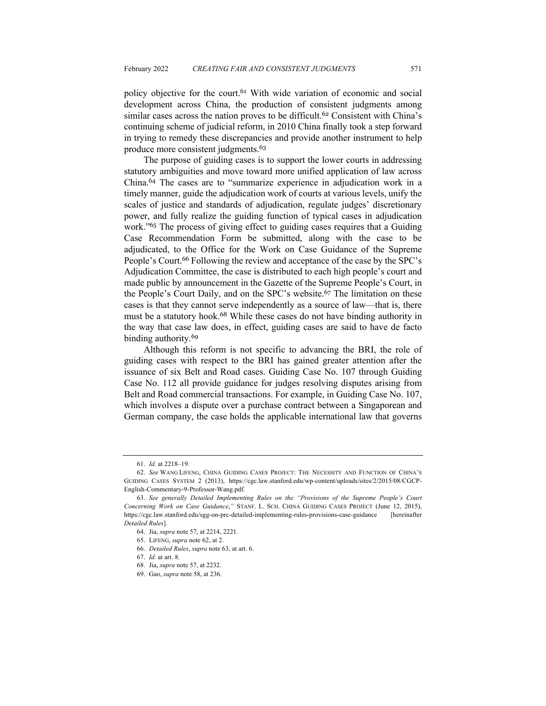policy objective for the court.<sup>61</sup> With wide variation of economic and social development across China, the production of consistent judgments among similar cases across the nation proves to be difficult.<sup>62</sup> Consistent with China's continuing scheme of judicial reform, in 2010 China finally took a step forward in trying to remedy these discrepancies and provide another instrument to help produce more consistent judgments.<sup>63</sup>

The purpose of guiding cases is to support the lower courts in addressing statutory ambiguities and move toward more unified application of law across China.<sup>64</sup> The cases are to "summarize experience in adjudication work in a timely manner, guide the adjudication work of courts at various levels, unify the scales of justice and standards of adjudication, regulate judges' discretionary power, and fully realize the guiding function of typical cases in adjudication work."<sup>65</sup> The process of giving effect to guiding cases requires that a Guiding Case Recommendation Form be submitted, along with the case to be adjudicated, to the Office for the Work on Case Guidance of the Supreme People's Court.<sup>66</sup> Following the review and acceptance of the case by the SPC's Adjudication Committee, the case is distributed to each high people's court and made public by announcement in the Gazette of the Supreme People's Court, in the People's Court Daily, and on the SPC's website.<sup>67</sup> The limitation on these cases is that they cannot serve independently as a source of law—that is, there must be a statutory hook.<sup>68</sup> While these cases do not have binding authority in the way that case law does, in effect, guiding cases are said to have de facto binding authority.<sup>69</sup>

Although this reform is not specific to advancing the BRI, the role of guiding cases with respect to the BRI has gained greater attention after the issuance of six Belt and Road cases. Guiding Case No. 107 through Guiding Case No. 112 all provide guidance for judges resolving disputes arising from Belt and Road commercial transactions. For example, in Guiding Case No. 107, which involves a dispute over a purchase contract between a Singaporean and German company, the case holds the applicable international law that governs

<sup>61.</sup> *Id.* at 2218–19.

<sup>62.</sup> *See* WANG LIFENG, CHINA GUIDING CASES PROJECT: THE NECESSITY AND FUNCTION OF CHINA'S GUIDING CASES SYSTEM 2 (2013), https://cgc.law.stanford.edu/wp-content/uploads/sites/2/2015/08/CGCP-English-Commentary-9-Professor-Wang.pdf.

<sup>63.</sup> *See generally Detailed Implementing Rules on the "Provisions of the Supreme People's Court Concerning Work on Case Guidance*,*"* STANF. L. SCH. CHINA GUIDING CASES PROJECT (June 12, 2015), https://cgc.law.stanford.edu/sgg-on-prc-detailed-implementing-rules-provisions-case-guidance [hereinafter *Detailed Rules*].

<sup>64.</sup> Jia, *supra* note 57, at 2214, 2221.

<sup>65.</sup> LIFENG, *supra* note 62, at 2.

<sup>66.</sup> *Detailed Rules*, *supra* note 63, at art. 6.

<sup>67.</sup> *Id.* at art. 8.

<sup>68.</sup> Jia, *supra* note 57, at 2232.

<sup>69.</sup> Gao, *supra* note 58, at 236.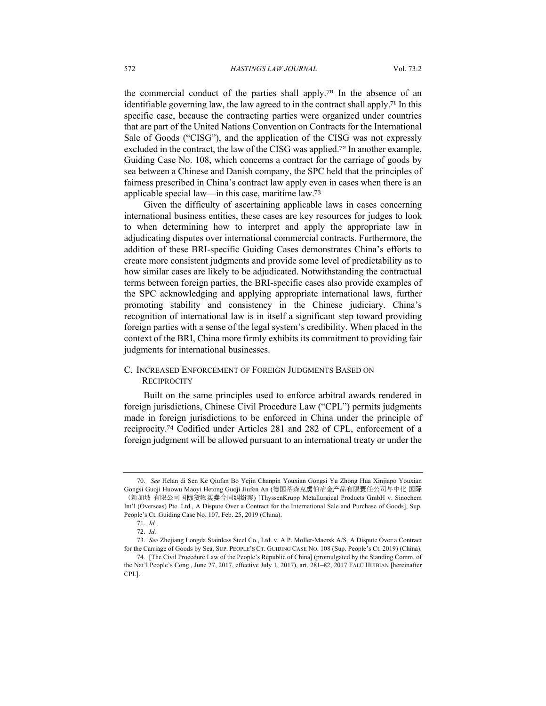the commercial conduct of the parties shall apply.<sup>70</sup> In the absence of an identifiable governing law, the law agreed to in the contract shall apply.<sup>71</sup> In this specific case, because the contracting parties were organized under countries that are part of the United Nations Convention on Contracts for the International Sale of Goods ("CISG"), and the application of the CISG was not expressly excluded in the contract, the law of the CISG was applied.<sup>72</sup> In another example, Guiding Case No. 108, which concerns a contract for the carriage of goods by sea between a Chinese and Danish company, the SPC held that the principles of fairness prescribed in China's contract law apply even in cases when there is an applicable special law—in this case, maritime law.<sup>73</sup>

Given the difficulty of ascertaining applicable laws in cases concerning international business entities, these cases are key resources for judges to look to when determining how to interpret and apply the appropriate law in adjudicating disputes over international commercial contracts. Furthermore, the addition of these BRI-specific Guiding Cases demonstrates China's efforts to create more consistent judgments and provide some level of predictability as to how similar cases are likely to be adjudicated. Notwithstanding the contractual terms between foreign parties, the BRI-specific cases also provide examples of the SPC acknowledging and applying appropriate international laws, further promoting stability and consistency in the Chinese judiciary. China's recognition of international law is in itself a significant step toward providing foreign parties with a sense of the legal system's credibility. When placed in the context of the BRI, China more firmly exhibits its commitment to providing fair judgments for international businesses.

## C. INCREASED ENFORCEMENT OF FOREIGN JUDGMENTS BASED ON **RECIPROCITY**

Built on the same principles used to enforce arbitral awards rendered in foreign jurisdictions, Chinese Civil Procedure Law ("CPL") permits judgments made in foreign jurisdictions to be enforced in China under the principle of reciprocity.<sup>74</sup> Codified under Articles 281 and 282 of CPL, enforcement of a foreign judgment will be allowed pursuant to an international treaty or under the

<sup>70.</sup> *See* Helan di Sen Ke Qiufan Bo Yejin Chanpin Youxian Gongsi Yu Zhong Hua Xinjiapo Youxian Gongsi Guoji Huowu Maoyi Hetong Guoji Jiufen An (德国蒂森克虏伯冶金产品有限责任公司与中化 国际 (新加坡 有限公司国际货物买卖合同纠纷案) [ThyssenKrupp Metallurgical Products GmbH v. Sinochem Int'l (Overseas) Pte. Ltd., A Dispute Over a Contract for the International Sale and Purchase of Goods], Sup. People's Ct. Guiding Case No. 107, Feb. 25, 2019 (China).

<sup>71.</sup> *Id.*

<sup>72.</sup> *Id.*

<sup>73.</sup> *See* Zhejiang Longda Stainless Steel Co., Ltd. v. A.P. Moller-Maersk A/S*,* A Dispute Over a Contract for the Carriage of Goods by Sea, SUP. PEOPLE'S CT. GUIDING CASE NO. 108 (Sup. People's Ct. 2019) (China).

<sup>74.</sup> [The Civil Procedure Law of the People's Republic of China] (promulgated by the Standing Comm. of the Nat'l People's Cong., June 27, 2017, effective July 1, 2017), art. 281–82, 2017 FALÜ HUIBIAN [hereinafter CPL].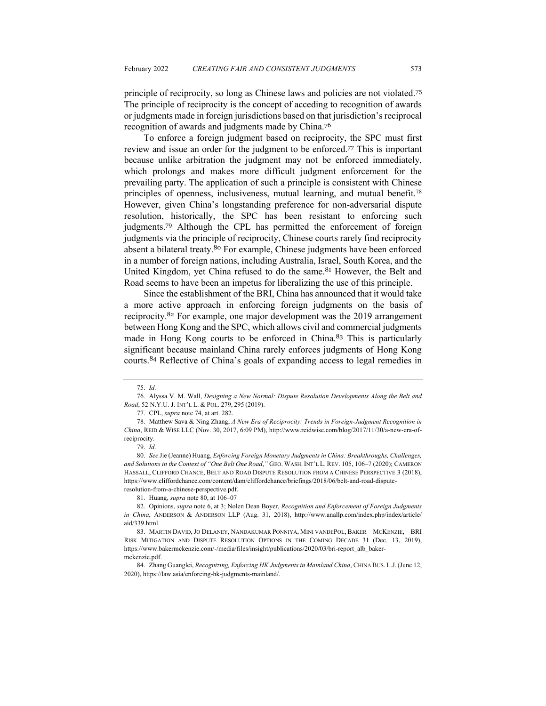principle of reciprocity, so long as Chinese laws and policies are not violated.<sup>75</sup> The principle of reciprocity is the concept of acceding to recognition of awards or judgments made in foreign jurisdictions based on that jurisdiction's reciprocal recognition of awards and judgments made by China.<sup>76</sup>

To enforce a foreign judgment based on reciprocity, the SPC must first review and issue an order for the judgment to be enforced.<sup>77</sup> This is important because unlike arbitration the judgment may not be enforced immediately, which prolongs and makes more difficult judgment enforcement for the prevailing party. The application of such a principle is consistent with Chinese principles of openness, inclusiveness, mutual learning, and mutual benefit.<sup>78</sup> However, given China's longstanding preference for non-adversarial dispute resolution, historically, the SPC has been resistant to enforcing such judgments.<sup>79</sup> Although the CPL has permitted the enforcement of foreign judgments via the principle of reciprocity, Chinese courts rarely find reciprocity absent a bilateral treaty.<sup>80</sup> For example, Chinese judgments have been enforced in a number of foreign nations, including Australia, Israel, South Korea, and the United Kingdom, yet China refused to do the same.<sup>81</sup> However, the Belt and Road seems to have been an impetus for liberalizing the use of this principle.

Since the establishment of the BRI, China has announced that it would take a more active approach in enforcing foreign judgments on the basis of reciprocity.<sup>82</sup> For example, one major development was the 2019 arrangement between Hong Kong and the SPC, which allows civil and commercial judgments made in Hong Kong courts to be enforced in China.<sup>83</sup> This is particularly significant because mainland China rarely enforces judgments of Hong Kong courts.<sup>84</sup> Reflective of China's goals of expanding access to legal remedies in

<sup>75.</sup> *Id.*

<sup>76.</sup> Alyssa V. M. Wall, *Designing a New Normal: Dispute Resolution Developments Along the Belt and Road*, 52 N.Y.U. J. INT'L L. & POL. 279, 295 (2019).

<sup>77.</sup> CPL, *supra* note 74, at art. 282.

<sup>78</sup>. Matthew Sava & Ning Zhang, *A New Era of Reciprocity: Trends in Foreign-Judgment Recognition in China*, REID & WISE LLC (Nov. 30, 2017, 6:09 PM), http://www.reidwise.com/blog/2017/11/30/a-new-era-ofreciprocity.

<sup>79.</sup> *Id.*

<sup>80.</sup> *See* Jie (Jeanne) Huang, *Enforcing Foreign Monetary Judgments in China: Breakthroughs, Challenges, and Solutions in the Context of "One Belt One Road*,*"* GEO. WASH. INT'L L. REV. 105, 106–7 (2020); CAMERON HASSALL, CLIFFORD CHANCE, BELT AND ROAD DISPUTE RESOLUTION FROM A CHINESE PERSPECTIVE 3 (2018), https://www.cliffordchance.com/content/dam/cliffordchance/briefings/2018/06/belt-and-road-disputeresolution-from-a-chinese-perspective.pdf.

<sup>81.</sup> Huang, *supra* note 80, at 106–07

<sup>82.</sup> Opinions, *supra* note 6, at 3; Nolen Dean Boyer, *Recognition and Enforcement of Foreign Judgments in China*, ANDERSON & ANDERSON LLP (Aug. 31, 2018), http://www.anallp.com/index.php/index/article/ aid/339.html.

<sup>83.</sup> MARTIN DAVID, JO DELANEY, NANDAKUMAR PONNIYA, MINI VANDEPOL, BAKER MCKENZIE, BRI RISK MITIGATION AND DISPUTE RESOLUTION OPTIONS IN THE COMING DECADE 31 (Dec. 13, 2019), https://www.bakermckenzie.com/-/media/files/insight/publications/2020/03/bri-report\_alb\_bakermckenzie.pdf.

<sup>84.</sup> Zhang Guanglei, *Recognizing, Enforcing HK Judgments in Mainland China*, CHINA BUS. L.J. (June 12, 2020), https://law.asia/enforcing-hk-judgments-mainland/.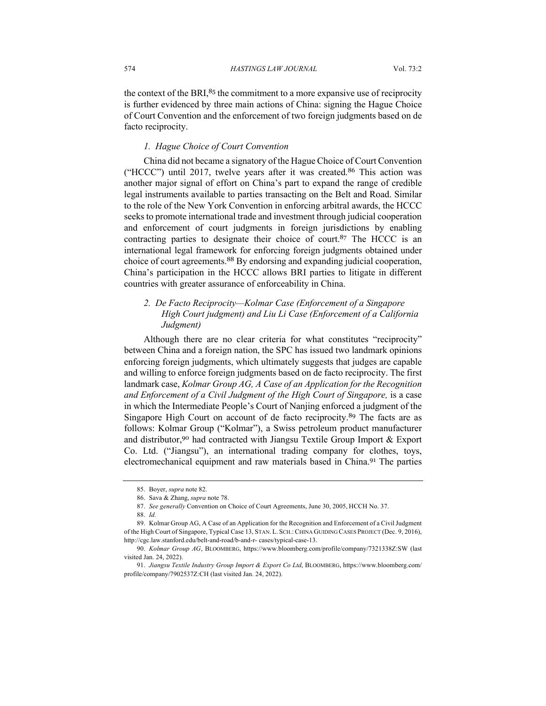the context of the BRI, $85$  the commitment to a more expansive use of reciprocity is further evidenced by three main actions of China: signing the Hague Choice of Court Convention and the enforcement of two foreign judgments based on de facto reciprocity.

## *1. Hague Choice of Court Convention*

China did not became a signatory of the Hague Choice of Court Convention ("HCCC") until 2017, twelve years after it was created. <sup>86</sup> This action was another major signal of effort on China's part to expand the range of credible legal instruments available to parties transacting on the Belt and Road. Similar to the role of the New York Convention in enforcing arbitral awards, the HCCC seeks to promote international trade and investment through judicial cooperation and enforcement of court judgments in foreign jurisdictions by enabling contracting parties to designate their choice of court.<sup>87</sup> The HCCC is an international legal framework for enforcing foreign judgments obtained under choice of court agreements.<sup>88</sup> By endorsing and expanding judicial cooperation, China's participation in the HCCC allows BRI parties to litigate in different countries with greater assurance of enforceability in China.

## *2. De Facto Reciprocity—Kolmar Case (Enforcement of a Singapore High Court judgment) and Liu Li Case (Enforcement of a California Judgment)*

Although there are no clear criteria for what constitutes "reciprocity" between China and a foreign nation, the SPC has issued two landmark opinions enforcing foreign judgments, which ultimately suggests that judges are capable and willing to enforce foreign judgments based on de facto reciprocity. The first landmark case, *Kolmar Group AG, A Case of an Application for the Recognition and Enforcement of a Civil Judgment of the High Court of Singapore,* is a case in which the Intermediate People's Court of Nanjing enforced a judgment of the Singapore High Court on account of de facto reciprocity.<sup>89</sup> The facts are as follows: Kolmar Group ("Kolmar"), a Swiss petroleum product manufacturer and distributor,<sup>90</sup> had contracted with Jiangsu Textile Group Import & Export Co. Ltd. ("Jiangsu"), an international trading company for clothes, toys, electromechanical equipment and raw materials based in China.<sup>91</sup> The parties

<sup>85.</sup> Boyer, *supra* note 82.

<sup>86.</sup> Sava & Zhang, *supra* note 78.

<sup>87.</sup> *See generally* Convention on Choice of Court Agreements, June 30, 2005, HCCH No. 37.

<sup>88.</sup> *Id.*

<sup>89.</sup> Kolmar Group AG, A Case of an Application for the Recognition and Enforcement of a Civil Judgment of the High Court of Singapore, Typical Case 13, STAN. L. SCH.: CHINA GUIDING CASES PROJECT (Dec. 9, 2016), http://cgc.law.stanford.edu/belt-and-road/b-and-r- cases/typical-case-13.

<sup>90.</sup> *Kolmar Group AG*, BLOOMBERG, https://www.bloomberg.com/profile/company/7321338Z:SW (last visited Jan. 24, 2022).

<sup>91.</sup> *Jiangsu Textile Industry Group Import & Export Co Ltd*, BLOOMBERG, https://www.bloomberg.com/ profile/company/7902537Z:CH (last visited Jan. 24, 2022).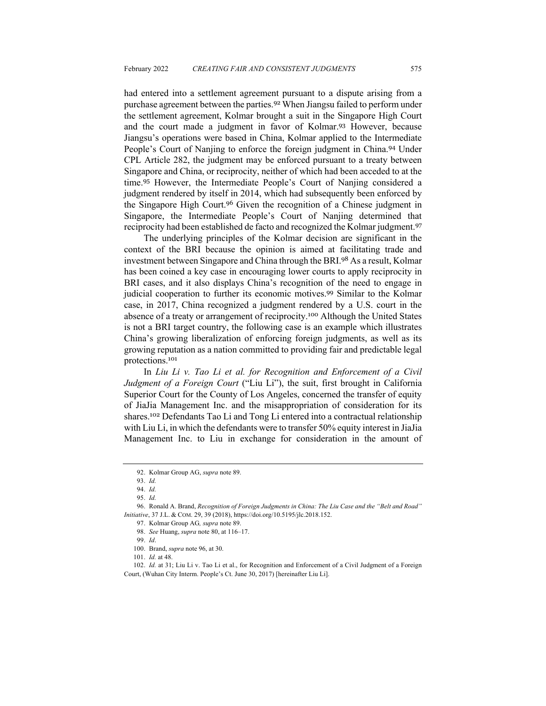had entered into a settlement agreement pursuant to a dispute arising from a purchase agreement between the parties.<sup>92</sup> When Jiangsu failed to perform under the settlement agreement, Kolmar brought a suit in the Singapore High Court and the court made a judgment in favor of Kolmar.<sup>93</sup> However, because Jiangsu's operations were based in China, Kolmar applied to the Intermediate People's Court of Nanjing to enforce the foreign judgment in China.<sup>94</sup> Under CPL Article 282, the judgment may be enforced pursuant to a treaty between Singapore and China, or reciprocity, neither of which had been acceded to at the time.<sup>95</sup> However, the Intermediate People's Court of Nanjing considered a judgment rendered by itself in 2014, which had subsequently been enforced by the Singapore High Court.<sup>96</sup> Given the recognition of a Chinese judgment in Singapore, the Intermediate People's Court of Nanjing determined that reciprocity had been established de facto and recognized the Kolmar judgment.<sup>97</sup>

The underlying principles of the Kolmar decision are significant in the context of the BRI because the opinion is aimed at facilitating trade and investment between Singapore and China through the BRI.<sup>98</sup> As a result, Kolmar has been coined a key case in encouraging lower courts to apply reciprocity in BRI cases, and it also displays China's recognition of the need to engage in judicial cooperation to further its economic motives.<sup>99</sup> Similar to the Kolmar case, in 2017, China recognized a judgment rendered by a U.S. court in the absence of a treaty or arrangement of reciprocity.<sup>100</sup> Although the United States is not a BRI target country, the following case is an example which illustrates China's growing liberalization of enforcing foreign judgments, as well as its growing reputation as a nation committed to providing fair and predictable legal protections.<sup>101</sup>

In *Liu Li v. Tao Li et al. for Recognition and Enforcement of a Civil Judgment of a Foreign Court* ("Liu Li"), the suit, first brought in California Superior Court for the County of Los Angeles, concerned the transfer of equity of JiaJia Management Inc. and the misappropriation of consideration for its shares.<sup>102</sup> Defendants Tao Li and Tong Li entered into a contractual relationship with Liu Li, in which the defendants were to transfer 50% equity interest in JiaJia Management Inc. to Liu in exchange for consideration in the amount of

101. *Id.* at 48.

<sup>92.</sup> Kolmar Group AG, *supra* note 89.

<sup>93.</sup> *Id.*

<sup>94.</sup> *Id.*

<sup>95.</sup> *Id.*

<sup>96.</sup> Ronald A. Brand, *Recognition of Foreign Judgments in China: The Liu Case and the "Belt and Road" Initiative*, 37 J.L. & COM. 29, 39 (2018), https://doi.org/10.5195/jlc.2018.152.

<sup>97.</sup> Kolmar Group AG*, supra* note 89.

<sup>98.</sup> *See* Huang, *supra* note 80, at 116–17.

<sup>99.</sup> *Id*.

<sup>100.</sup> Brand, *supra* note 96, at 30.

<sup>102.</sup> *Id.* at 31; Liu Li v. Tao Li et al., for Recognition and Enforcement of a Civil Judgment of a Foreign Court, (Wuhan City Interm. People's Ct. June 30, 2017) [hereinafter Liu Li].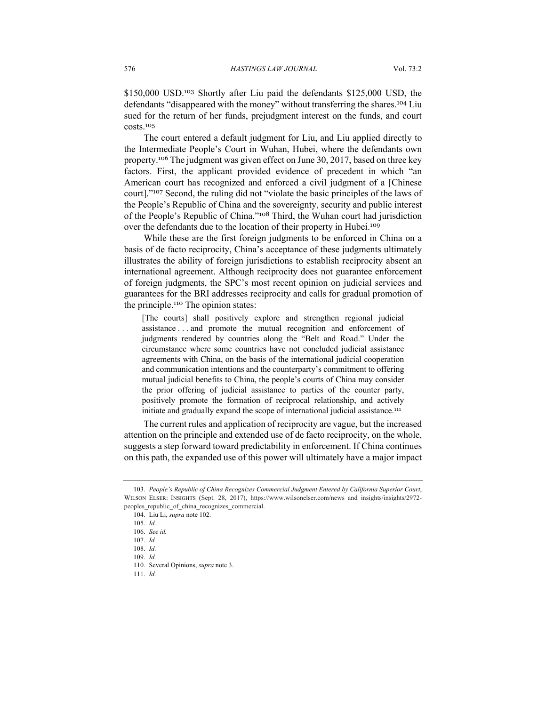\$150,000 USD.<sup>103</sup> Shortly after Liu paid the defendants \$125,000 USD, the defendants "disappeared with the money" without transferring the shares.<sup>104</sup> Liu sued for the return of her funds, prejudgment interest on the funds, and court costs.<sup>105</sup>

The court entered a default judgment for Liu, and Liu applied directly to the Intermediate People's Court in Wuhan, Hubei, where the defendants own property.<sup>106</sup> The judgment was given effect on June 30, 2017, based on three key factors. First, the applicant provided evidence of precedent in which "an American court has recognized and enforced a civil judgment of a [Chinese court]."<sup>107</sup> Second, the ruling did not "violate the basic principles of the laws of the People's Republic of China and the sovereignty, security and public interest of the People's Republic of China."<sup>108</sup> Third, the Wuhan court had jurisdiction over the defendants due to the location of their property in Hubei.<sup>109</sup>

While these are the first foreign judgments to be enforced in China on a basis of de facto reciprocity, China's acceptance of these judgments ultimately illustrates the ability of foreign jurisdictions to establish reciprocity absent an international agreement. Although reciprocity does not guarantee enforcement of foreign judgments, the SPC's most recent opinion on judicial services and guarantees for the BRI addresses reciprocity and calls for gradual promotion of the principle.<sup>110</sup> The opinion states:

[The courts] shall positively explore and strengthen regional judicial assistance . . . and promote the mutual recognition and enforcement of judgments rendered by countries along the "Belt and Road." Under the circumstance where some countries have not concluded judicial assistance agreements with China, on the basis of the international judicial cooperation and communication intentions and the counterparty's commitment to offering mutual judicial benefits to China, the people's courts of China may consider the prior offering of judicial assistance to parties of the counter party, positively promote the formation of reciprocal relationship, and actively initiate and gradually expand the scope of international judicial assistance.<sup>111</sup>

The current rules and application of reciprocity are vague, but the increased attention on the principle and extended use of de facto reciprocity, on the whole, suggests a step forward toward predictability in enforcement. If China continues on this path, the expanded use of this power will ultimately have a major impact

<sup>103.</sup> *People's Republic of China Recognizes Commercial Judgment Entered by California Superior Court*, WILSON ELSER: INSIGHTS (Sept. 28, 2017), https://www.wilsonelser.com/news\_and\_insights/insights/2972peoples republic of china recognizes commercial.

<sup>104.</sup> Liu Li, *supra* note 102.

<sup>105.</sup> *Id.*

<sup>106.</sup> *See id.*

<sup>107.</sup> *Id.*

<sup>108.</sup> *Id.*

<sup>109.</sup> *Id.*

<sup>110.</sup> Several Opinions, *supra* note 3.

<sup>111.</sup> *Id.*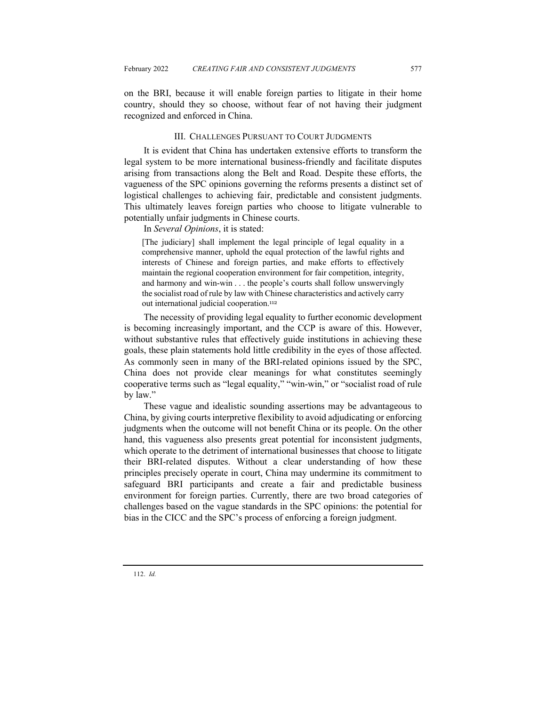on the BRI, because it will enable foreign parties to litigate in their home country, should they so choose, without fear of not having their judgment recognized and enforced in China.

## III. CHALLENGES PURSUANT TO COURT JUDGMENTS

It is evident that China has undertaken extensive efforts to transform the legal system to be more international business-friendly and facilitate disputes arising from transactions along the Belt and Road. Despite these efforts, the vagueness of the SPC opinions governing the reforms presents a distinct set of logistical challenges to achieving fair, predictable and consistent judgments. This ultimately leaves foreign parties who choose to litigate vulnerable to potentially unfair judgments in Chinese courts.

In *Several Opinions*, it is stated:

[The judiciary] shall implement the legal principle of legal equality in a comprehensive manner, uphold the equal protection of the lawful rights and interests of Chinese and foreign parties, and make efforts to effectively maintain the regional cooperation environment for fair competition, integrity, and harmony and win-win . . . the people's courts shall follow unswervingly the socialist road of rule by law with Chinese characteristics and actively carry out international judicial cooperation.<sup>112</sup>

The necessity of providing legal equality to further economic development is becoming increasingly important, and the CCP is aware of this. However, without substantive rules that effectively guide institutions in achieving these goals, these plain statements hold little credibility in the eyes of those affected. As commonly seen in many of the BRI-related opinions issued by the SPC, China does not provide clear meanings for what constitutes seemingly cooperative terms such as "legal equality," "win-win," or "socialist road of rule by law."

These vague and idealistic sounding assertions may be advantageous to China, by giving courts interpretive flexibility to avoid adjudicating or enforcing judgments when the outcome will not benefit China or its people. On the other hand, this vagueness also presents great potential for inconsistent judgments, which operate to the detriment of international businesses that choose to litigate their BRI-related disputes. Without a clear understanding of how these principles precisely operate in court, China may undermine its commitment to safeguard BRI participants and create a fair and predictable business environment for foreign parties. Currently, there are two broad categories of challenges based on the vague standards in the SPC opinions: the potential for bias in the CICC and the SPC's process of enforcing a foreign judgment.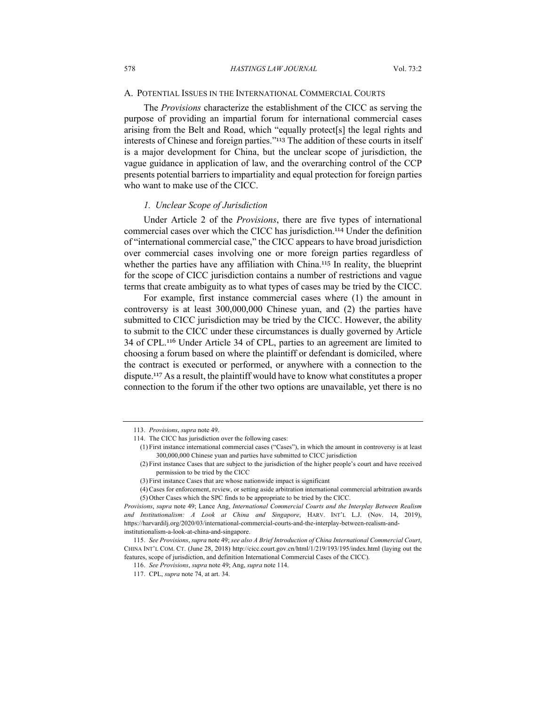#### A. POTENTIAL ISSUES IN THE INTERNATIONAL COMMERCIAL COURTS

The *Provisions* characterize the establishment of the CICC as serving the purpose of providing an impartial forum for international commercial cases arising from the Belt and Road, which "equally protect[s] the legal rights and interests of Chinese and foreign parties."<sup>113</sup> The addition of these courts in itself is a major development for China, but the unclear scope of jurisdiction, the vague guidance in application of law, and the overarching control of the CCP presents potential barriers to impartiality and equal protection for foreign parties who want to make use of the CICC.

#### *1. Unclear Scope of Jurisdiction*

Under Article 2 of the *Provisions*, there are five types of international commercial cases over which the CICC has jurisdiction.<sup>114</sup> Under the definition of "international commercial case," the CICC appears to have broad jurisdiction over commercial cases involving one or more foreign parties regardless of whether the parties have any affiliation with China.<sup>115</sup> In reality, the blueprint for the scope of CICC jurisdiction contains a number of restrictions and vague terms that create ambiguity as to what types of cases may be tried by the CICC.

For example, first instance commercial cases where (1) the amount in controversy is at least 300,000,000 Chinese yuan, and (2) the parties have submitted to CICC jurisdiction may be tried by the CICC. However, the ability to submit to the CICC under these circumstances is dually governed by Article 34 of CPL.<sup>116</sup> Under Article 34 of CPL, parties to an agreement are limited to choosing a forum based on where the plaintiff or defendant is domiciled, where the contract is executed or performed, or anywhere with a connection to the dispute.<sup>117</sup> As a result, the plaintiff would have to know what constitutes a proper connection to the forum if the other two options are unavailable, yet there is no

<sup>113.</sup> *Provisions*, *supra* note 49.

<sup>114.</sup> The CICC has jurisdiction over the following cases:

<sup>(1)</sup> First instance international commercial cases ("Cases"), in which the amount in controversy is at least 300,000,000 Chinese yuan and parties have submitted to CICC jurisdiction

<sup>(2)</sup> First instance Cases that are subject to the jurisdiction of the higher people's court and have received permission to be tried by the CICC

<sup>(3)</sup> First instance Cases that are whose nationwide impact is significant

<sup>(4)</sup> Cases for enforcement, review, or setting aside arbitration international commercial arbitration awards (5) Other Cases which the SPC finds to be appropriate to be tried by the CICC.

*Provisions*, *supra* note 49; Lance Ang, *International Commercial Courts and the Interplay Between Realism and Institutionalism: A Look at China and Singapore*, HARV. INT'L L.J. (Nov. 14, 2019), https://harvardilj.org/2020/03/international-commercial-courts-and-the-interplay-between-realism-andinstitutionalism-a-look-at-china-and-singapore.

<sup>115.</sup> *See Provisions*, *supra* note 49; *see also A Brief Introduction of China International Commercial Court*, CHINA INT'L COM. CT. (June 28, 2018) http://cicc.court.gov.cn/html/1/219/193/195/index.html (laying out the features, scope of jurisdiction, and definition International Commercial Cases of the CICC).

<sup>116.</sup> *See Provisions*, *supra* note 49; Ang, *supra* note 114.

<sup>117.</sup> CPL, *supra* note 74, at art. 34.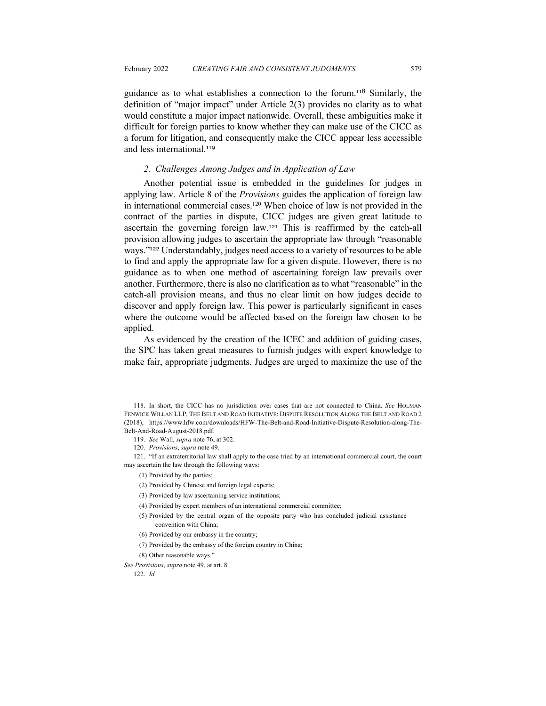guidance as to what establishes a connection to the forum.<sup>118</sup> Similarly, the definition of "major impact" under Article 2(3) provides no clarity as to what would constitute a major impact nationwide. Overall, these ambiguities make it difficult for foreign parties to know whether they can make use of the CICC as a forum for litigation, and consequently make the CICC appear less accessible and less international.<sup>119</sup>

## *2. Challenges Among Judges and in Application of Law*

Another potential issue is embedded in the guidelines for judges in applying law. Article 8 of the *Provisions* guides the application of foreign law in international commercial cases.<sup>120</sup> When choice of law is not provided in the contract of the parties in dispute, CICC judges are given great latitude to ascertain the governing foreign law.<sup>121</sup> This is reaffirmed by the catch-all provision allowing judges to ascertain the appropriate law through "reasonable ways."<sup>122</sup> Understandably, judges need access to a variety of resources to be able to find and apply the appropriate law for a given dispute. However, there is no guidance as to when one method of ascertaining foreign law prevails over another. Furthermore, there is also no clarification as to what "reasonable" in the catch-all provision means, and thus no clear limit on how judges decide to discover and apply foreign law. This power is particularly significant in cases where the outcome would be affected based on the foreign law chosen to be applied.

As evidenced by the creation of the ICEC and addition of guiding cases, the SPC has taken great measures to furnish judges with expert knowledge to make fair, appropriate judgments. Judges are urged to maximize the use of the

(5) Provided by the central organ of the opposite party who has concluded judicial assistance convention with China;

(7) Provided by the embassy of the foreign country in China;

<sup>118.</sup> In short, the CICC has no jurisdiction over cases that are not connected to China. *See* HOLMAN FENWICK WILLAN LLP, THE BELT AND ROAD INITIATIVE: DISPUTE RESOLUTION ALONG THE BELT AND ROAD 2 (2018), https://www.hfw.com/downloads/HFW-The-Belt-and-Road-Initiative-Dispute-Resolution-along-The-Belt-And-Road-August-2018.pdf.

<sup>119.</sup> *See* Wall, *supra* note 76, at 302.

<sup>120</sup>. *Provisions*, *supra* note 49.

<sup>121.</sup> "If an extraterritorial law shall apply to the case tried by an international commercial court, the court may ascertain the law through the following ways:

<sup>(1)</sup> Provided by the parties;

<sup>(2)</sup> Provided by Chinese and foreign legal experts;

<sup>(3)</sup> Provided by law ascertaining service institutions;

<sup>(4)</sup> Provided by expert members of an international commercial committee;

<sup>(6)</sup> Provided by our embassy in the country;

<sup>(8)</sup> Other reasonable ways."

*See Provisions*, *supra* note 49, at art. 8.

<sup>122.</sup> *Id.*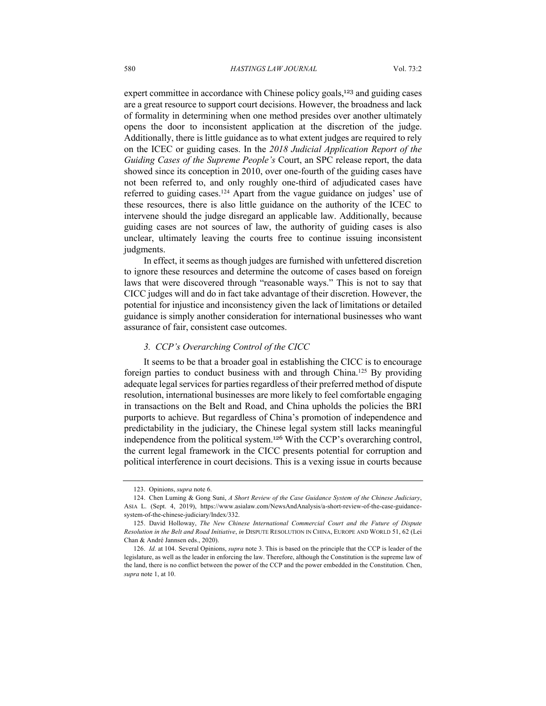expert committee in accordance with Chinese policy goals,<sup>123</sup> and guiding cases are a great resource to support court decisions. However, the broadness and lack of formality in determining when one method presides over another ultimately opens the door to inconsistent application at the discretion of the judge. Additionally, there is little guidance as to what extent judges are required to rely on the ICEC or guiding cases. In the *2018 Judicial Application Report of the Guiding Cases of the Supreme People's* Court, an SPC release report, the data showed since its conception in 2010, over one-fourth of the guiding cases have not been referred to, and only roughly one-third of adjudicated cases have referred to guiding cases.<sup>124</sup> Apart from the vague guidance on judges' use of these resources, there is also little guidance on the authority of the ICEC to intervene should the judge disregard an applicable law. Additionally, because guiding cases are not sources of law, the authority of guiding cases is also unclear, ultimately leaving the courts free to continue issuing inconsistent judgments.

In effect, it seems as though judges are furnished with unfettered discretion to ignore these resources and determine the outcome of cases based on foreign laws that were discovered through "reasonable ways." This is not to say that CICC judges will and do in fact take advantage of their discretion. However, the potential for injustice and inconsistency given the lack of limitations or detailed guidance is simply another consideration for international businesses who want assurance of fair, consistent case outcomes.

## *3. CCP's Overarching Control of the CICC*

It seems to be that a broader goal in establishing the CICC is to encourage foreign parties to conduct business with and through China.<sup>125</sup> By providing adequate legal services for parties regardless of their preferred method of dispute resolution, international businesses are more likely to feel comfortable engaging in transactions on the Belt and Road, and China upholds the policies the BRI purports to achieve. But regardless of China's promotion of independence and predictability in the judiciary, the Chinese legal system still lacks meaningful independence from the political system.<sup>126</sup> With the CCP's overarching control, the current legal framework in the CICC presents potential for corruption and political interference in court decisions. This is a vexing issue in courts because

<sup>123.</sup> Opinions, *supra* note 6.

<sup>124</sup>. Chen Luming & Gong Suni, *A Short Review of the Case Guidance System of the Chinese Judiciary*, ASIA L. (Sept. 4, 2019), https://www.asialaw.com/NewsAndAnalysis/a-short-review-of-the-case-guidancesystem-of-the-chinese-judiciary/Index/332.

<sup>125</sup>. David Holloway, *The New Chinese International Commercial Court and the Future of Dispute Resolution in the Belt and Road Initiative*, *in* DISPUTE RESOLUTION IN CHINA, EUROPE AND WORLD 51, 62 (Lei Chan & André Jannsen eds., 2020).

<sup>126.</sup> *Id.* at 104. Several Opinions, *supra* note 3. This is based on the principle that the CCP is leader of the legislature, as well as the leader in enforcing the law. Therefore, although the Constitution is the supreme law of the land, there is no conflict between the power of the CCP and the power embedded in the Constitution. Chen, *supra* note 1, at 10.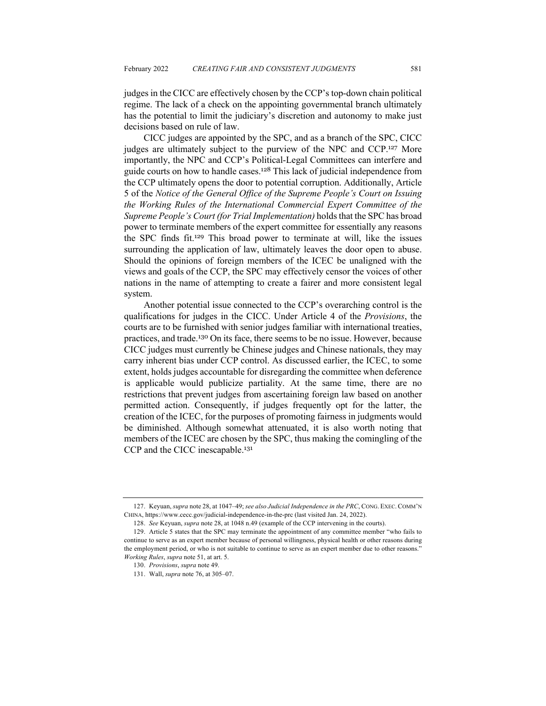judges in the CICC are effectively chosen by the CCP's top-down chain political regime. The lack of a check on the appointing governmental branch ultimately has the potential to limit the judiciary's discretion and autonomy to make just decisions based on rule of law.

CICC judges are appointed by the SPC, and as a branch of the SPC, CICC judges are ultimately subject to the purview of the NPC and CCP.<sup>127</sup> More importantly, the NPC and CCP's Political-Legal Committees can interfere and guide courts on how to handle cases.<sup>128</sup> This lack of judicial independence from the CCP ultimately opens the door to potential corruption. Additionally, Article 5 of the *Notice of the General Office of the Supreme People's Court on Issuing the Working Rules of the International Commercial Expert Committee of the Supreme People's Court (for Trial Implementation)* holds that the SPC has broad power to terminate members of the expert committee for essentially any reasons the SPC finds fit.<sup>129</sup> This broad power to terminate at will, like the issues surrounding the application of law, ultimately leaves the door open to abuse. Should the opinions of foreign members of the ICEC be unaligned with the views and goals of the CCP, the SPC may effectively censor the voices of other nations in the name of attempting to create a fairer and more consistent legal system.

Another potential issue connected to the CCP's overarching control is the qualifications for judges in the CICC. Under Article 4 of the *Provisions*, the courts are to be furnished with senior judges familiar with international treaties, practices, and trade.<sup>130</sup> On its face, there seems to be no issue. However, because CICC judges must currently be Chinese judges and Chinese nationals, they may carry inherent bias under CCP control. As discussed earlier, the ICEC, to some extent, holds judges accountable for disregarding the committee when deference is applicable would publicize partiality. At the same time, there are no restrictions that prevent judges from ascertaining foreign law based on another permitted action. Consequently, if judges frequently opt for the latter, the creation of the ICEC, for the purposes of promoting fairness in judgments would be diminished. Although somewhat attenuated, it is also worth noting that members of the ICEC are chosen by the SPC, thus making the comingling of the CCP and the CICC inescapable.<sup>131</sup>

<sup>127.</sup> Keyuan, *supra* note 28, at 1047–49; *see also Judicial Independence in the PRC*, CONG. EXEC. COMM'N CHINA, https://www.cecc.gov/judicial-independence-in-the-prc (last visited Jan. 24, 2022).

<sup>128.</sup> *See* Keyuan, *supra* note 28, at 1048 n.49 (example of the CCP intervening in the courts).

<sup>129.</sup> Article 5 states that the SPC may terminate the appointment of any committee member "who fails to continue to serve as an expert member because of personal willingness, physical health or other reasons during the employment period, or who is not suitable to continue to serve as an expert member due to other reasons." *Working Rules*, *supra* note 51, at art. 5.

<sup>130.</sup> *Provisions*, *supra* note 49.

<sup>131.</sup> Wall, *supra* note 76, at 305–07.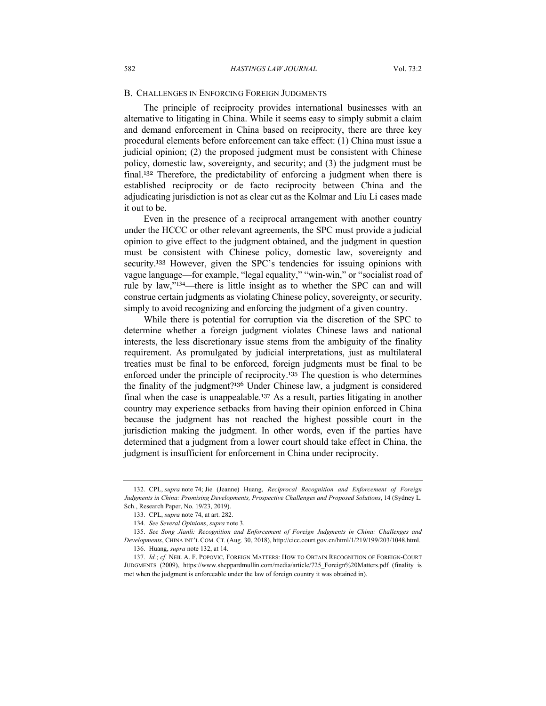#### B. CHALLENGES IN ENFORCING FOREIGN JUDGMENTS

The principle of reciprocity provides international businesses with an alternative to litigating in China. While it seems easy to simply submit a claim and demand enforcement in China based on reciprocity, there are three key procedural elements before enforcement can take effect: (1) China must issue a judicial opinion; (2) the proposed judgment must be consistent with Chinese policy, domestic law, sovereignty, and security; and (3) the judgment must be final.<sup>132</sup> Therefore, the predictability of enforcing a judgment when there is established reciprocity or de facto reciprocity between China and the adjudicating jurisdiction is not as clear cut as the Kolmar and Liu Li cases made it out to be.

Even in the presence of a reciprocal arrangement with another country under the HCCC or other relevant agreements, the SPC must provide a judicial opinion to give effect to the judgment obtained, and the judgment in question must be consistent with Chinese policy, domestic law, sovereignty and security.<sup>133</sup> However, given the SPC's tendencies for issuing opinions with vague language—for example, "legal equality," "win-win," or "socialist road of rule by law,"134—there is little insight as to whether the SPC can and will construe certain judgments as violating Chinese policy, sovereignty, or security, simply to avoid recognizing and enforcing the judgment of a given country.

While there is potential for corruption via the discretion of the SPC to determine whether a foreign judgment violates Chinese laws and national interests, the less discretionary issue stems from the ambiguity of the finality requirement. As promulgated by judicial interpretations, just as multilateral treaties must be final to be enforced, foreign judgments must be final to be enforced under the principle of reciprocity.<sup>135</sup> The question is who determines the finality of the judgment?<sup>136</sup> Under Chinese law, a judgment is considered final when the case is unappealable.<sup>137</sup> As a result, parties litigating in another country may experience setbacks from having their opinion enforced in China because the judgment has not reached the highest possible court in the jurisdiction making the judgment. In other words, even if the parties have determined that a judgment from a lower court should take effect in China, the judgment is insufficient for enforcement in China under reciprocity.

<sup>132.</sup> CPL, *supra* note 74; Jie (Jeanne) Huang, *Reciprocal Recognition and Enforcement of Foreign Judgments in China: Promising Developments, Prospective Challenges and Proposed Solutions*, 14 (Sydney L. Sch., Research Paper, No. 19/23, 2019).

<sup>133.</sup> CPL, *supra* note 74, at art. 282.

<sup>134</sup>. *See Several Opinions*, *supra* note 3.

<sup>135.</sup> *See Song Jianli: Recognition and Enforcement of Foreign Judgments in China: Challenges and Developments*, CHINA INT'L COM. CT. (Aug. 30, 2018), http://cicc.court.gov.cn/html/1/219/199/203/1048.html. 136. Huang, *supra* note 132, at 14.

<sup>137.</sup> *Id.*; *cf*. NEIL A. F. POPOVIC, FOREIGN MATTERS: HOW TO OBTAIN RECOGNITION OF FOREIGN-COURT JUDGMENTS (2009), https://www.sheppardmullin.com/media/article/725\_Foreign%20Matters.pdf (finality is met when the judgment is enforceable under the law of foreign country it was obtained in).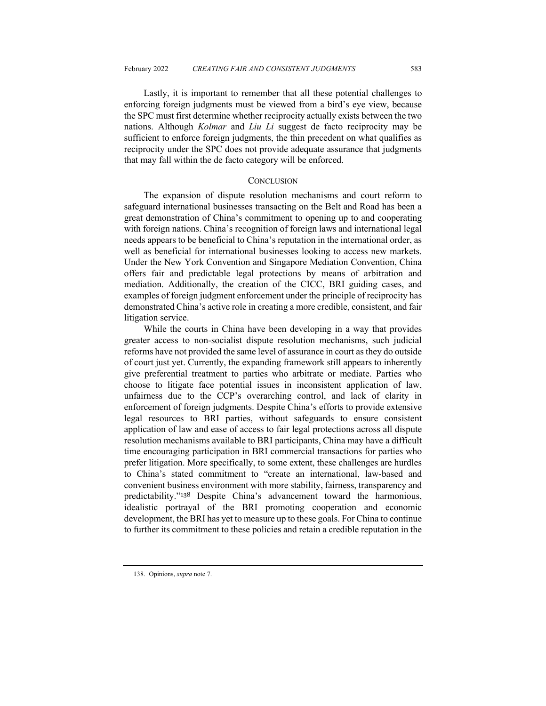Lastly, it is important to remember that all these potential challenges to enforcing foreign judgments must be viewed from a bird's eye view, because the SPC must first determine whether reciprocity actually exists between the two nations. Although *Kolmar* and *Liu Li* suggest de facto reciprocity may be sufficient to enforce foreign judgments, the thin precedent on what qualifies as reciprocity under the SPC does not provide adequate assurance that judgments that may fall within the de facto category will be enforced.

#### **CONCLUSION**

The expansion of dispute resolution mechanisms and court reform to safeguard international businesses transacting on the Belt and Road has been a great demonstration of China's commitment to opening up to and cooperating with foreign nations. China's recognition of foreign laws and international legal needs appears to be beneficial to China's reputation in the international order, as well as beneficial for international businesses looking to access new markets. Under the New York Convention and Singapore Mediation Convention, China offers fair and predictable legal protections by means of arbitration and mediation. Additionally, the creation of the CICC, BRI guiding cases, and examples of foreign judgment enforcement under the principle of reciprocity has demonstrated China's active role in creating a more credible, consistent, and fair litigation service.

While the courts in China have been developing in a way that provides greater access to non-socialist dispute resolution mechanisms, such judicial reforms have not provided the same level of assurance in court as they do outside of court just yet. Currently, the expanding framework still appears to inherently give preferential treatment to parties who arbitrate or mediate. Parties who choose to litigate face potential issues in inconsistent application of law, unfairness due to the CCP's overarching control, and lack of clarity in enforcement of foreign judgments. Despite China's efforts to provide extensive legal resources to BRI parties, without safeguards to ensure consistent application of law and ease of access to fair legal protections across all dispute resolution mechanisms available to BRI participants, China may have a difficult time encouraging participation in BRI commercial transactions for parties who prefer litigation. More specifically, to some extent, these challenges are hurdles to China's stated commitment to "create an international, law-based and convenient business environment with more stability, fairness, transparency and predictability."<sup>138</sup> Despite China's advancement toward the harmonious, idealistic portrayal of the BRI promoting cooperation and economic development, the BRI has yet to measure up to these goals. For China to continue to further its commitment to these policies and retain a credible reputation in the

<sup>138.</sup> Opinions, *supra* note 7.